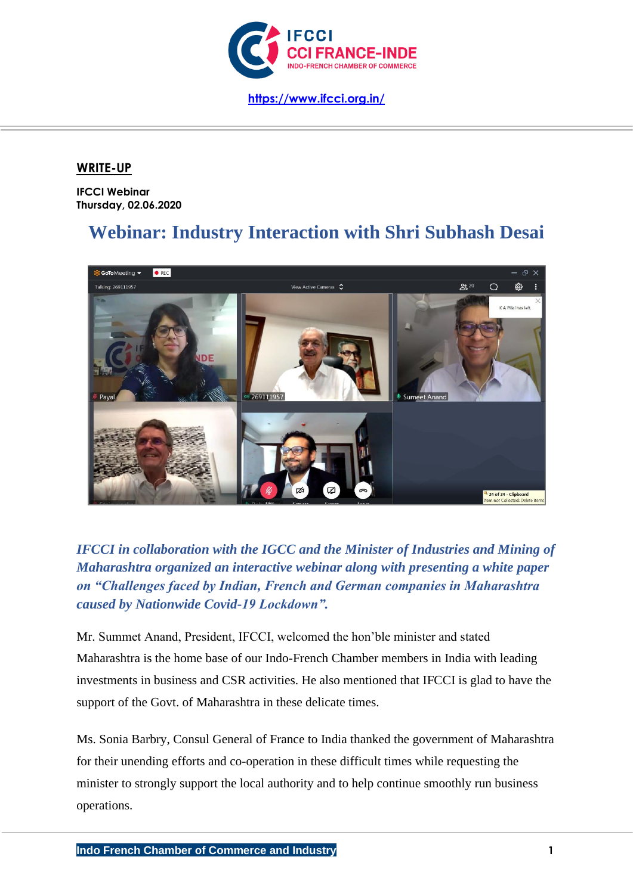

## **WRITE-UP**

**IFCCI Webinar Thursday, 02.06.2020**

## **Webinar: Industry Interaction with Shri Subhash Desai**



*IFCCI in collaboration with the IGCC and the Minister of Industries and Mining of Maharashtra organized an interactive webinar along with presenting a white paper on "Challenges faced by Indian, French and German companies in Maharashtra caused by Nationwide Covid-19 Lockdown".*

Mr. Summet Anand, President, IFCCI, welcomed the hon'ble minister and stated Maharashtra is the home base of our Indo-French Chamber members in India with leading investments in business and CSR activities. He also mentioned that IFCCI is glad to have the support of the Govt. of Maharashtra in these delicate times.

Ms. Sonia Barbry, Consul General of France to India thanked the government of Maharashtra for their unending efforts and co-operation in these difficult times while requesting the minister to strongly support the local authority and to help continue smoothly run business operations.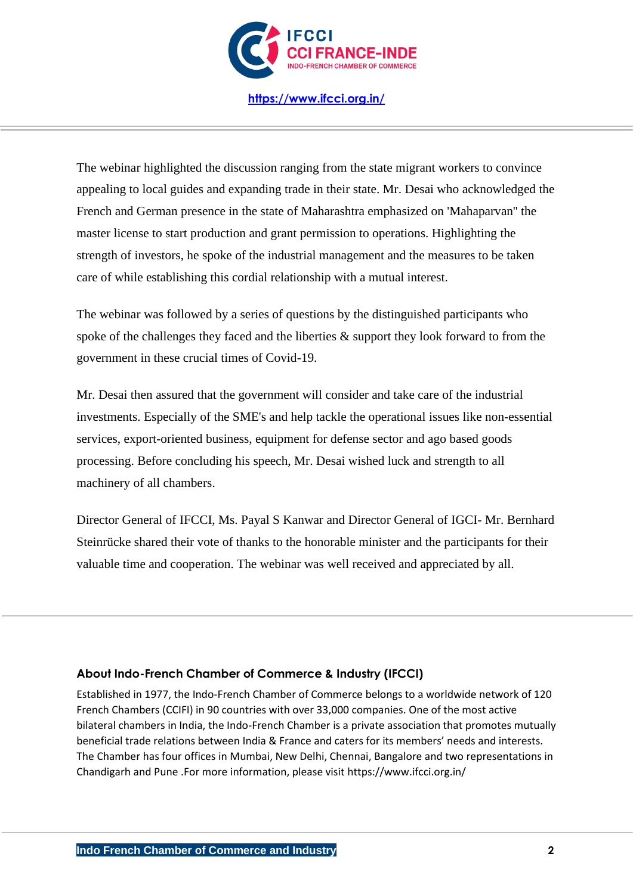

**<https://www.ifcci.org.in/>**

The webinar highlighted the discussion ranging from the state migrant workers to convince appealing to local guides and expanding trade in their state. Mr. Desai who acknowledged the French and German presence in the state of Maharashtra emphasized on 'Mahaparvan'' the master license to start production and grant permission to operations. Highlighting the strength of investors, he spoke of the industrial management and the measures to be taken care of while establishing this cordial relationship with a mutual interest.

The webinar was followed by a series of questions by the distinguished participants who spoke of the challenges they faced and the liberties & support they look forward to from the government in these crucial times of Covid-19.

Mr. Desai then assured that the government will consider and take care of the industrial investments. Especially of the SME's and help tackle the operational issues like non-essential services, export-oriented business, equipment for defense sector and ago based goods processing. Before concluding his speech, Mr. Desai wished luck and strength to all machinery of all chambers.

Director General of IFCCI, Ms. Payal S Kanwar and Director General of IGCI- Mr. Bernhard Steinrücke shared their vote of thanks to the honorable minister and the participants for their valuable time and cooperation. The webinar was well received and appreciated by all.

## **About Indo-French Chamber of Commerce & Industry (IFCCI)**

Established in 1977, the Indo-French Chamber of Commerce belongs to a worldwide network of 120 French Chambers (CCIFI) in 90 countries with over 33,000 companies. One of the most active bilateral chambers in India, the Indo-French Chamber is a private association that promotes mutually beneficial trade relations between India & France and caters for its members' needs and interests. The Chamber has four offices in Mumbai, New Delhi, Chennai, Bangalore and two representations in Chandigarh and Pune .For more information, please visi[t https://www.ifcci.org.in/](https://www.ifcci.org.in/)